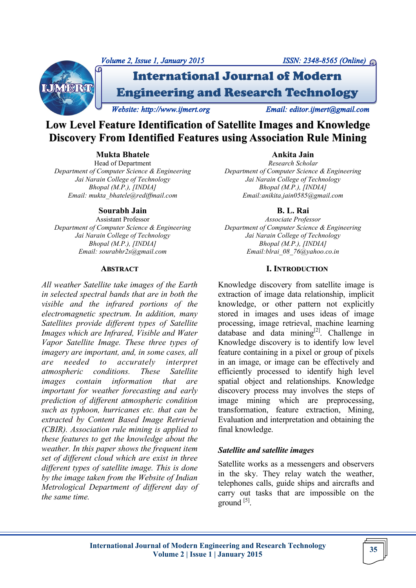



International Journal of Modern Engineering and Research Technology

*Website: http://www.ijmert.org Email: editor.ijmert@gmail.com* 

# **Low Level Feature Identification of Satellite Images and Knowledge Discovery From Identified Features using Association Rule Mining**

# **Mukta Bhatele**

Head of Department *Department of Computer Science & Engineering Jai Narain College of Technology Bhopal (M.P.), [INDIA] Email: mukta\_bhatele@rediffmail.com*

# **Sourabh Jain**

Assistant Professor *Department of Computer Science & Engineering Jai Narain College of Technology Bhopal (M.P.), [INDIA] Email: sourabhr2s@gmail.com*

#### **ABSTRACT**

*All weather Satellite take images of the Earth in selected spectral bands that are in both the visible and the infrared portions of the electromagnetic spectrum. In addition, many Satellites provide different types of Satellite Images which are Infrared, Visible and Water Vapor Satellite Image. These three types of imagery are important, and, in some cases, all are needed to accurately interpret atmospheric conditions. These Satellite images contain information that are important for weather forecasting and early prediction of different atmospheric condition such as typhoon, hurricanes etc. that can be extracted by Content Based Image Retrieval (CBIR). Association rule mining is applied to these features to get the knowledge about the weather. In this paper shows the frequent item set of different cloud which are exist in three different types of satellite image. This is done by the image taken from the Website of Indian Metrological Department of different day of the same time.*

**Ankita Jain** *Research Scholar Department of Computer Science & Engineering Jai Narain College of Technology Bhopal (M.P.), [INDIA] Email:anikita.jain0585@gmail.com*

# **B. L. Rai**

*Associate Professor Department of Computer Science & Engineering Jai Narain College of Technology Bhopal (M.P.), [INDIA] Email:blrai\_08\_76@yahoo.co.in*

# **I. INTRODUCTION**

Knowledge discovery from satellite image is extraction of image data relationship, implicit knowledge, or other pattern not explicitly stored in images and uses ideas of image processing, image retrieval, machine learning database and data mining $[2]$ . Challenge in Knowledge discovery is to identify low level feature containing in a pixel or group of pixels in an image, or image can be effectively and efficiently processed to identify high level spatial object and relationships. Knowledge discovery process may involves the steps of image mining which are preprocessing, transformation, feature extraction, Mining, Evaluation and interpretation and obtaining the final knowledge.

# *Satellite and satellite images*

Satellite works as a messengers and observers in the sky. They relay watch the weather, telephones calls, guide ships and aircrafts and carry out tasks that are impossible on the ground [5].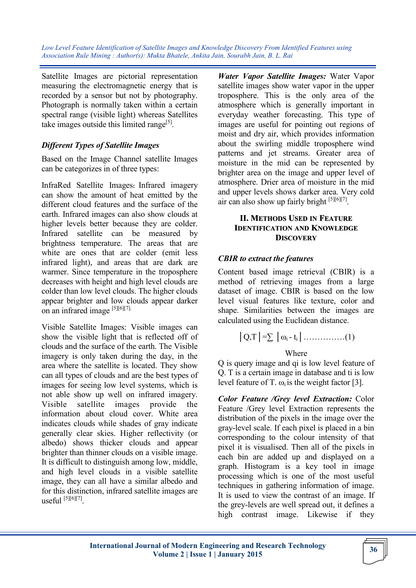Satellite Images are pictorial representation measuring the electromagnetic energy that is recorded by a sensor but not by photography. Photograph is normally taken within a certain spectral range (visible light) whereas Satellites take images outside this limited range<sup>[5]</sup>.

# *Different Types of Satellite Images*

Based on the Image Channel satellite Images can be categorizes in of three types:

InfraRed Satellite Images**:** Infrared imagery can show the amount of heat emitted by the different cloud features and the surface of the earth. Infrared images can also show clouds at higher levels better because they are colder. Infrared satellite can be measured by brightness temperature. The areas that are white are ones that are colder (emit less infrared light), and areas that are dark are warmer. Since temperature in the troposphere decreases with height and high level clouds are colder than low level clouds. The higher clouds appear brighter and low clouds appear darker on an infrared image [5][6][7].

Visible Satellite Images: Visible images can show the visible light that is reflected off of clouds and the surface of the earth. The Visible imagery is only taken during the day, in the area where the satellite is located. They show can all types of clouds and are the best types of images for seeing low level systems, which is not able show up well on infrared imagery. Visible satellite images provide the information about cloud cover. White area indicates clouds while shades of gray indicate generally clear skies. Higher reflectivity (or albedo) shows thicker clouds and appear brighter than thinner clouds on a visible image. It is difficult to distinguish among low, middle, and high level clouds in a visible satellite image, they can all have a similar albedo and for this distinction, infrared satellite images are useful [5][6][7] .

*Water Vapor Satellite Images:* Water Vapor satellite images show water vapor in the upper troposphere. This is the only area of the atmosphere which is generally important in everyday weather forecasting. This type of images are useful for pointing out regions of moist and dry air, which provides information about the swirling middle troposphere wind patterns and jet streams. Greater area of moisture in the mid can be represented by brighter area on the image and upper level of atmosphere. Drier area of moisture in the mid and upper levels shows darker area. Very cold air can also show up fairly bright [5][6][7].

# **II. METHODS USED IN FEATURE IDENTIFICATION AND KNOWLEDGE DISCOVERY**

# *CBIR to extract the features*

Content based image retrieval (CBIR) is a method of retrieving images from a large dataset of image. CBIR is based on the low level visual features like texture, color and shape. Similarities between the images are calculated using the Euclidean distance.

$$
|Q,T| = \sum |\omega_i - t_i| \dots \dots \dots \dots (1)
$$
  
Where

Q is query image and qi is low level feature of Q. T is a certain image in database and ti is low level feature of T.  $\omega_i$  is the weight factor [3].

*Color Feature /Grey level Extraction:* Color Feature /Grey level Extraction represents the distribution of the pixels in the image over the gray-level scale. If each pixel is placed in a bin corresponding to the colour intensity of that pixel it is visualised. Then all of the pixels in each bin are added up and displayed on a graph. Histogram is a key tool in image processing which is one of the most useful techniques in gathering information of image. It is used to view the contrast of an image. If the grey-levels are well spread out, it defines a high contrast image. Likewise if they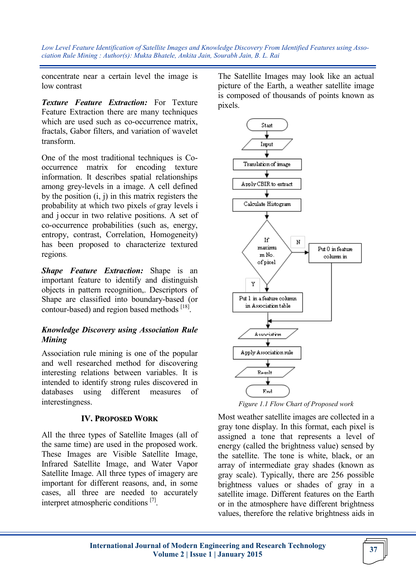concentrate near a certain level the image is low contrast

*Texture Feature Extraction:* For Texture Feature Extraction there are many techniques which are used such as co-occurrence matrix, fractals, Gabor filters, and variation of wavelet transform.

One of the most traditional techniques is Cooccurrence matrix for encoding texture information. It describes spatial relationships among grey-levels in a image. A cell defined by the position (i, j) in this matrix registers the probability at which two pixels of gray levels i and j occur in two relative positions. A set of co-occurrence probabilities (such as, energy, entropy, contrast, Correlation, Homogeneity) has been proposed to characterize textured regions.

*Shape Feature Extraction:* Shape is an important feature to identify and distinguish objects in pattern recognition,. Descriptors of Shape are classified into boundary-based (or contour-based) and region based methods [18].

# *Knowledge Discovery using Association Rule Mining*

Association rule mining is one of the popular and well researched method for discovering interesting relations between variables. It is intended to identify strong rules discovered in databases using different measures of interestingness.

# **IV. PROPOSED WORK**

All the three types of Satellite Images (all of the same time) are used in the proposed work. These Images are Visible Satellite Image, Infrared Satellite Image, and Water Vapor Satellite Image. All three types of imagery are important for different reasons, and, in some cases, all three are needed to accurately interpret atmospheric conditions<sup>[7]</sup>.

The Satellite Images may look like an actual picture of the Earth, a weather satellite image is composed of thousands of points known as pixels.



*Figure 1.1 Flow Chart of Proposed work*

Most weather satellite images are collected in a gray tone display. In this format, each pixel is assigned a tone that represents a level of energy (called the brightness value) sensed by the satellite. The tone is white, black, or an array of intermediate gray shades (known as gray scale). Typically, there are 256 possible brightness values or shades of gray in a satellite image. Different features on the Earth or in the atmosphere have different brightness values, therefore the relative brightness aids in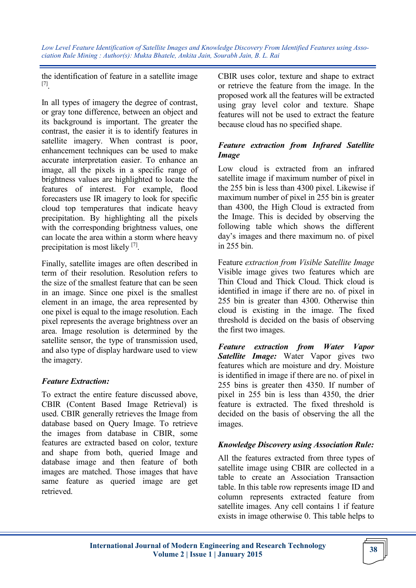the identification of feature in a satellite image [7] .

In all types of imagery the degree of contrast, or gray tone difference, between an object and its background is important. The greater the contrast, the easier it is to identify features in satellite imagery. When contrast is poor, enhancement techniques can be used to make accurate interpretation easier. To enhance an image, all the pixels in a specific range of brightness values are highlighted to locate the features of interest. For example, flood forecasters use IR imagery to look for specific cloud top temperatures that indicate heavy precipitation. By highlighting all the pixels with the corresponding brightness values, one can locate the area within a storm where heavy precipitation is most likely [7].

Finally, satellite images are often described in term of their resolution. Resolution refers to the size of the smallest feature that can be seen in an image. Since one pixel is the smallest element in an image, the area represented by one pixel is equal to the image resolution. Each pixel represents the average brightness over an area. Image resolution is determined by the satellite sensor, the type of transmission used, and also type of display hardware used to view the imagery.

# *Feature Extraction:*

To extract the entire feature discussed above, CBIR (Content Based Image Retrieval) is used. CBIR generally retrieves the Image from database based on Query Image. To retrieve the images from database in CBIR, some features are extracted based on color, texture and shape from both, queried Image and database image and then feature of both images are matched. Those images that have same feature as queried image are get retrieved.

CBIR uses color, texture and shape to extract or retrieve the feature from the image. In the proposed work all the features will be extracted using gray level color and texture. Shape features will not be used to extract the feature because cloud has no specified shape.

# *Feature extraction from Infrared Satellite Image*

Low cloud is extracted from an infrared satellite image if maximum number of pixel in the 255 bin is less than 4300 pixel. Likewise if maximum number of pixel in 255 bin is greater than 4300, the High Cloud is extracted from the Image. This is decided by observing the following table which shows the different day's images and there maximum no. of pixel in 255 bin.

Feature *extraction from Visible Satellite Image*  Visible image gives two features which are Thin Cloud and Thick Cloud. Thick cloud is identified in image if there are no. of pixel in 255 bin is greater than 4300. Otherwise thin cloud is existing in the image. The fixed threshold is decided on the basis of observing the first two images.

*Feature extraction from Water Vapor Satellite Image:* Water Vapor gives two features which are moisture and dry. Moisture is identified in image if there are no. of pixel in 255 bins is greater then 4350. If number of pixel in 255 bin is less than 4350, the drier feature is extracted. The fixed threshold is decided on the basis of observing the all the images.

# *Knowledge Discovery using Association Rule:*

All the features extracted from three types of satellite image using CBIR are collected in a table to create an Association Transaction table. In this table row represents image ID and column represents extracted feature from satellite images. Any cell contains 1 if feature exists in image otherwise 0. This table helps to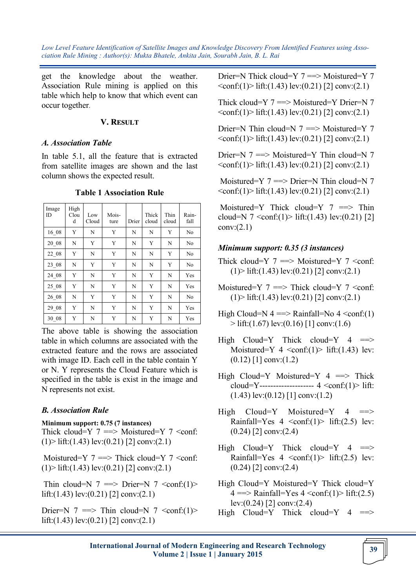get the knowledge about the weather. Association Rule mining is applied on this table which help to know that which event can occur together.

#### **V. RESULT**

#### *A. Association Table*

In table 5.1, all the feature that is extracted from satellite images are shown and the last column shows the expected result.

| Image<br>ID | High<br>Clou<br>d | Low<br>Cloud | Mois-<br>ture | Drier | Thick<br>cloud | Thin<br>cloud | Rain-<br>fall  |
|-------------|-------------------|--------------|---------------|-------|----------------|---------------|----------------|
| 16 08       | Y                 | N            | Y             | N     | N              | Y             | N <sub>o</sub> |
| 20 08       | N                 | Y            | Y             | N     | Y              | N             | No             |
| 22 08       | Y                 | N            | Y             | N     | N              | Y             | N <sub>o</sub> |
| $23 - 08$   | N                 | Y            | Y             | N     | N              | Y             | N <sub>o</sub> |
| 24 08       | Y                 | N            | Y             | N     | Y              | N             | Yes            |
| $25 - 08$   | Y                 | N            | Y             | N     | Y              | N             | Yes            |
| $26 - 08$   | N                 | Y            | Y             | N     | Y              | N             | N <sub>o</sub> |
| 29 08       | Y                 | N            | Y             | N     | Y              | N             | Yes            |
| 30 08       | Y                 | N            | Y             | N     | Y              | N             | Yes            |

#### **Table 1 Association Rule**

The above table is showing the association table in which columns are associated with the extracted feature and the rows are associated with image ID. Each cell in the table contain Y or N. Y represents the Cloud Feature which is specified in the table is exist in the image and N represents not exist.

# *B. Association Rule*

#### **Minimum support: 0.75 (7 instances)**

Thick cloud=Y  $7 \implies$  Moistured=Y  $7 \le$ conf:  $(1)$  lift: $(1.43)$  lev: $(0.21)$  [2] conv: $(2.1)$ 

Moistured=Y  $7 ==$  Thick cloud=Y  $7$  < conf:  $(1)$  lift: $(1.43)$  lev: $(0.21)$  [2] conv: $(2.1)$ 

Thin cloud=N  $7 \implies$  Drier=N  $7 \le$ conf:(1)> lift:(1.43) lev:(0.21) [2] conv:(2.1)

Drier=N  $7 \implies$  Thin cloud=N  $7 \le$ conf:(1)> lift:(1.43) lev:(0.21) [2] conv:(2.1)

Drier=N Thick cloud=Y 7 ==> Moistured=Y 7  $\langle \text{conf:}(1) \rangle$  lift:(1.43) lev:(0.21) [2] conv:(2.1)

Thick cloud=Y 7 ==> Moistured=Y Drier=N 7  $\langle \text{conf:}(1) \rangle$  lift:(1.43) lev:(0.21) [2] conv:(2.1)

Drier=N Thin cloud=N 7 ==> Moistured=Y 7  $\langle \text{conf:}(1) \rangle$  lift:(1.43) lev:(0.21) [2] conv:(2.1)

Drier=N  $7 \implies$  Moistured=Y Thin cloud=N  $7$  $\langle \text{conf:}(1) \rangle$  lift:(1.43) lev:(0.21) [2] conv:(2.1)

Moistured=Y  $7 = >>$  Drier=N Thin cloud=N  $7$  $\langle \text{conf:}(1) \rangle$  lift:(1.43) lev:(0.21) [2] conv:(2.1)

Moistured=Y Thick cloud=Y  $7 \implies$  Thin cloud=N  $7 \le \text{conf:}(1) > \text{lift:}(1.43) \text{ lev:}(0.21) [2]$  $conv:(2.1)$ 

#### *Minimum support: 0.35 (3 instances)*

- Thick cloud=Y  $7 \implies$  Moistured=Y  $7 \le$ conf:  $(1)$  lift: $(1.43)$  lev: $(0.21)$  [2] conv: $(2.1)$
- Moistured=Y  $7 \implies$  Thick cloud=Y  $7 \le$ conf:  $(1)$  lift: $(1.43)$  lev: $(0.21)$  [2] conv: $(2.1)$
- High Cloud=N  $4 \rightleftharpoons$  Rainfall=No  $4 \leftarrow$ conf:(1)  $>$  lift:(1.67) lev:(0.16) [1] conv:(1.6)
- High Cloud=Y Thick cloud=Y  $4$  =  $\Rightarrow$ Moistured=Y  $4 \text{ <}conf:(1)$  lift:(1.43) lev:  $(0.12)$  [1] conv: $(1.2)$
- High Cloud=Y Moistured=Y  $4 \implies$  Thick cloud=Y---------------------  $4 < \text{conf:} (1) > \text{lift}:$  $(1.43)$  lev: $(0.12)$  [1] conv: $(1.2)$
- $High$   $Cloud=Y$   $Moistured=Y$  4 Rainfall=Yes  $4 \text{ <}conf:(1)$  lift: (2.5) lev:  $(0.24)$  [2] conv: $(2.4)$
- High Cloud=Y Thick cloud=Y  $4$  ==> Rainfall=Yes  $4 \text{ <}conf:(1)$  lift: $(2.5)$  lev:  $(0.24)$  [2] conv: $(2.4)$
- High Cloud=Y Moistured=Y Thick cloud=Y  $4 \equiv$  > Rainfall=Yes  $4 \le$ conf:(1)> lift:(2.5) lev:(0.24) [2] conv:(2.4)
- High Cloud=Y Thick cloud=Y  $4$  ==>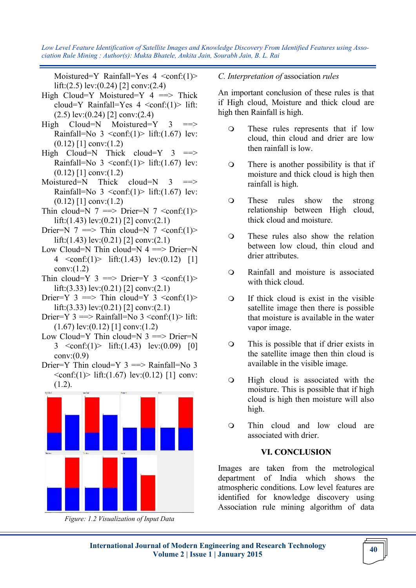Moistured=Y Rainfall=Yes  $4 \text{ >$ lift:(2.5) lev:(0.24) [2] conv:(2.4)

- High Cloud=Y Moistured=Y  $4 \implies$  Thick cloud=Y Rainfall=Yes  $4 \le$ conf:(1)> lift: (2.5) lev:(0.24) [2] conv:(2.4)
- $High$   $Cloud=N$   $Moistured=Y$  3 Rainfall=No  $3 \text{  lift:(1.67) lev:$  $(0.12)$  [1] conv: $(1.2)$
- High Cloud=N Thick cloud=Y  $3$  ==> Rainfall=No  $3 \text{  lift:(1.67) lev:$  $(0.12)$  [1] conv: $(1.2)$
- $Moistured=N$  Thick cloud=N 3 Rainfall=No  $3 \text{  lift:(1.67) lev:$  $(0.12)$  [1] conv: $(1.2)$
- Thin cloud=N  $7$  = > Drier=N  $7$  <conf:(1)> lift:(1.43) lev:(0.21) [2] conv:(2.1)
- Drier=N  $7 \implies$  Thin cloud=N  $7 \le$ conf:(1)> lift:(1.43) lev:(0.21) [2] conv:(2.1)
- Low Cloud=N Thin cloud=N  $4 \implies$  Drier=N 4  $\leq$  conf:(1) lift:(1.43) lev:(0.12) [1] conv:(1.2)
- Thin cloud=Y  $3 \implies$  Drier=Y  $3 \le$ conf:(1)> lift:(3.33) lev:(0.21) [2] conv:(2.1)
- Drier=Y  $3 \implies$  Thin cloud=Y  $3 \lt \text{conf:}(1)$ > lift:(3.33) lev:(0.21) [2] conv:(2.1)
- Drier=Y  $3 \implies$  Rainfall=No  $3 \lt \text{conf:}(1)$  lift:  $(1.67)$  lev: $(0.12)$  [1] conv: $(1.2)$
- Low Cloud=Y Thin cloud=N  $3 \implies$  Drier=N 3  $\text{conf:}(1)$  lift: $(1.43)$  lev: $(0.09)$  [0]  $conv:(0.9)$
- Drier=Y Thin cloud=Y  $3 \implies$  Rainfall=No 3  $\langle \text{conf:}(1) \rangle$  lift:(1.67) lev:(0.12) [1] conv: (1.2).



*Figure: 1.2 Visualization of Input Data*

# *C. Interpretation of* association *rules*

An important conclusion of these rules is that if High cloud, Moisture and thick cloud are high then Rainfall is high.

- These rules represents that if low cloud, thin cloud and drier are low then rainfall is low.
- There is another possibility is that if moisture and thick cloud is high then rainfall is high.
- These rules show the strong relationship between High cloud, thick cloud and moisture.
- These rules also show the relation between low cloud, thin cloud and drier attributes.
- Rainfall and moisture is associated with thick cloud.
- $\Omega$  If thick cloud is exist in the visible satellite image then there is possible that moisture is available in the water vapor image.
- This is possible that if drier exists in the satellite image then thin cloud is available in the visible image.
- High cloud is associated with the moisture. This is possible that if high cloud is high then moisture will also high.
- Thin cloud and low cloud are associated with drier.

# **VI. CONCLUSION**

Images are taken from the metrological department of India which shows the atmospheric conditions. Low level features are identified for knowledge discovery using Association rule mining algorithm of data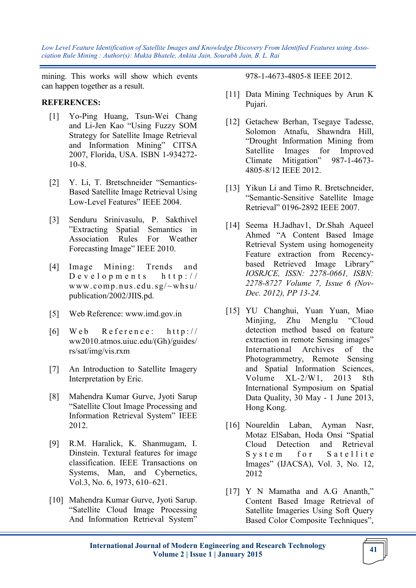mining. This works will show which events can happen together as a result.

### **REFERENCES:**

- [1] Yo-Ping Huang, Tsun-Wei Chang and Li-Jen Kao "Using Fuzzy SOM Strategy for Satellite Image Retrieval and Information Mining" CITSA 2007, Florida, USA. ISBN 1-934272- 10-8.
- [2] Y. Li, T. Bretschneider "Semantics-Based Satellite Image Retrieval Using Low-Level Features" IEEE 2004.
- [3] Senduru Srinivasulu, P. Sakthivel "Extracting Spatial Semantics in Association Rules For Weather Forecasting Image" IEEE 2010.
- [4] Image Mining: Trends and  $D$  e v e l o p m e n t s h t t p : // www.comp.nus.edu.sg/~whsu/ publication/2002/JIIS.pd.
- [5] Web Reference: www.imd.gov.in
- $[6]$  Web Reference: http:// ww2010.atmos.uiuc.edu/(Gh)/guides/ rs/sat/img/vis.rxm
- [7] An Introduction to Satellite Imagery Interpretation by Eric.
- [8] Mahendra Kumar Gurve, Jyoti Sarup "Satellite Clout Image Processing and Information Retrieval System" IEEE 2012.
- [9] R.M. Haralick, K. Shanmugam, I. Dinstein. Textural features for image classification. IEEE Transactions on Systems, Man, and Cybernetics, Vol.3, No. 6, 1973, 610–621.
- [10] Mahendra Kumar Gurve, Jyoti Sarup. "Satellite Cloud Image Processing And Information Retrieval System"

978-1-4673-4805-8 IEEE 2012.

- [11] Data Mining Techniques by Arun K Pujari.
- [12] Getachew Berhan, Tsegaye Tadesse, Solomon Atnafu, Shawndra Hill, "Drought Information Mining from Satellite Images for Improved Climate Mitigation" 987-1-4673- 4805-8/12 IEEE 2012.
- [13] Yikun Li and Timo R. Bretschneider, "Semantic-Sensitive Satellite Image Retrieval" 0196-2892 IEEE 2007.
- [14] Seema H.Jadhav1, Dr.Shah Aqueel Ahmed "A Content Based Image Retrieval System using homogeneity Feature extraction from Recencybased Retrieved Image Library" *IOSRJCE, ISSN: 2278-0661, ISBN: 2278-8727 Volume 7, Issue 6 (Nov-Dec. 2012), PP 13-24.*
- [15] YU Changhui, Yuan Yuan, Miao Minjing, Zhu Menglu "Cloud detection method based on feature extraction in remote Sensing images" International Archives of the Photogrammetry, Remote Sensing and Spatial Information Sciences, Volume XL-2/W1, 2013 8th International Symposium on Spatial Data Quality, 30 May - 1 June 2013, Hong Kong.
- [16] Noureldin Laban, Ayman Nasr, Motaz ElSaban, Hoda Onsi "Spatial Cloud Detection and Retrieval System for Satellite Images" (IJACSA), Vol. 3, No. 12, 2012
- [17] Y N Mamatha and A.G Ananth," Content Based Image Retrieval of Satellite Imageries Using Soft Query Based Color Composite Techniques",